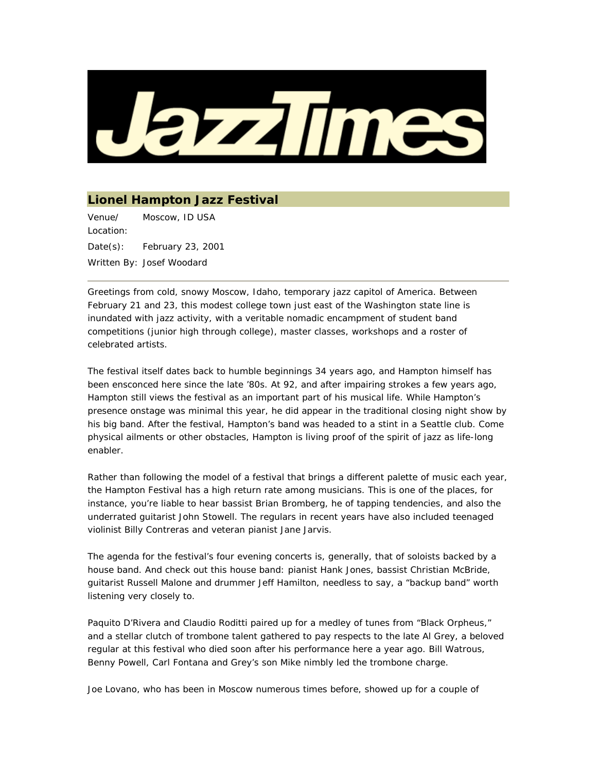

## **Lionel Hampton Jazz Festival**

Venue/ Location: Moscow, ID USA Date(s): February 23, 2001 Written By: Josef Woodard

Greetings from cold, snowy Moscow, Idaho, temporary jazz capitol of America. Between February 21 and 23, this modest college town just east of the Washington state line is inundated with jazz activity, with a veritable nomadic encampment of student band competitions (junior high through college), master classes, workshops and a roster of celebrated artists.

The festival itself dates back to humble beginnings 34 years ago, and Hampton himself has been ensconced here since the late '80s. At 92, and after impairing strokes a few years ago, Hampton still views the festival as an important part of his musical life. While Hampton's presence onstage was minimal this year, he did appear in the traditional closing night show by his big band. After the festival, Hampton's band was headed to a stint in a Seattle club. Come physical ailments or other obstacles, Hampton is living proof of the spirit of jazz as life-long enabler.

Rather than following the model of a festival that brings a different palette of music each year, the Hampton Festival has a high return rate among musicians. This is one of the places, for instance, you're liable to hear bassist Brian Bromberg, he of tapping tendencies, and also the underrated guitarist John Stowell. The regulars in recent years have also included teenaged violinist Billy Contreras and veteran pianist Jane Jarvis.

The agenda for the festival's four evening concerts is, generally, that of soloists backed by a house band. And check out this house band: pianist Hank Jones, bassist Christian McBride, guitarist Russell Malone and drummer Jeff Hamilton, needless to say, a "backup band" worth listening very closely to.

Paquito D'Rivera and Claudio Roditti paired up for a medley of tunes from "Black Orpheus," and a stellar clutch of trombone talent gathered to pay respects to the late Al Grey, a beloved regular at this festival who died soon after his performance here a year ago. Bill Watrous, Benny Powell, Carl Fontana and Grey's son Mike nimbly led the trombone charge.

Joe Lovano, who has been in Moscow numerous times before, showed up for a couple of